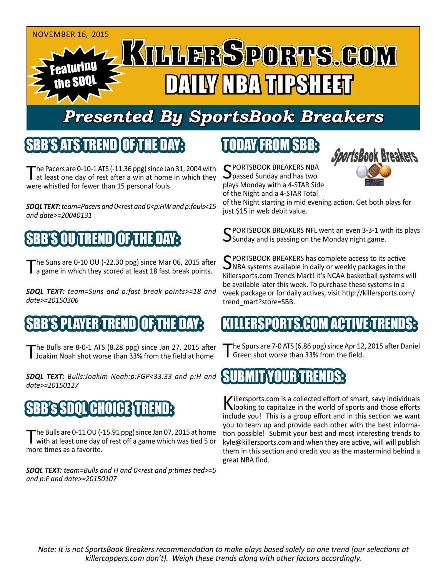

# *Presented By SportsBook Breakers*

#### SBB'S'ATSTREN

The Pacers are  $0-10-1$  ATS ( $-11.36$  ppg) since Jan 31, 2004 with at least one day of rest after a win at home in which they were whistled for fewer than 15 personal fouls

**SDQL TEXT:** *team=Pacers and 0<rest and 0<p:HW and p:fouls<15 and date>=20040131*

## SBB'S OU TREND OF THE DAY:

he Suns are 0-10 OU (-22.30 ppg) since Mar 06, 2015 after a game in which they scored at least 18 fast break points.

*SDQL TEXT: team=Suns and p:fast break points>=18 and date>=20150306*

#### 'S PLAYER TREND OF T

The Bulls are 8-0-1 ATS (8.28 ppg) since Jan 27, 2015 after<br>I Joakim Noah shot worse than 33% from the field at home

*SDQL TEXT: Bulls:Joakim Noah:p:FGP<33.33 and p:H and date>=20150127*

### SBB's SDQL CHOICE TREND:

The Bulls are 0-11 OU (-15.91 ppg) since Jan 07, 2015 at home<br>with at least one day of rest off a game which was tied 5 or more times as a favorite.

*SDQL TEXT: team=Bulls and H and 0<rest and p:times tied>=5 and p:F and date>=20150107*

## TODAY FROM SBB:

C PORTSBOOK BREAKERS NBA passed Sunday and has two plays Monday with a 4-STAR Side of the Night and a 4-STAR Total



of the Night starting in mid evening action. Get both plays for just \$15 in web debit value.

 $\bigcap$  PORTSBOOK BREAKERS NFL went an even 3-3-1 with its plays  $\bigcup$ Sunday and is passing on the Monday night game.

SPORTSBOOK BREAKERS has complete access to its active<br>
WHA systems available in daily or weekly packages in the Killersports.com Trends Mart! It's NCAA basketball systems will be available later this week. To purchase these systems in a week package or for daily actives, visit http://killersports.com/ trend\_mart?store=SBB.

#### RSPORTS.COM ACT

The Spurs are 7-0 ATS (6.86 ppg) since Apr 12, 2015 after Daniel Green shot worse than 33% from the field.



Killersports.com is a collected effort of smart, savy individuals<br>Nooking to capitalize in the world of sports and those efforts include you! This is a group effort and in this section we want you to team up and provide each other with the best information possible! Submit your best and most interesting trends to kyle@killersports.com and when they are active, will will publish them in this section and credit you as the mastermind behind a great NBA find.

*Note: It is not SportsBook Breakers recommendation to make plays based solely on one trend (our selections at killercappers.com don't). Weigh these trends along with other factors accordingly.*